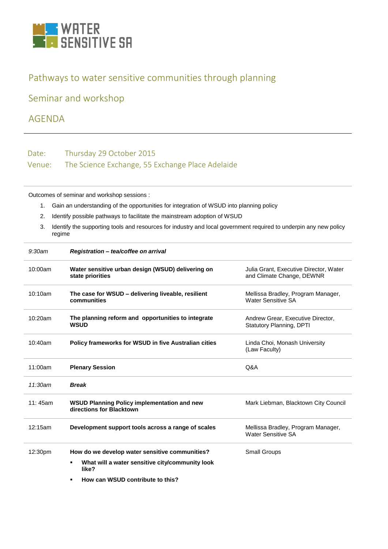

## Pathways to water sensitive communities through planning

Seminar and workshop

AGENDA

Date: Thursday 29 October 2015 Venue: The Science Exchange, 55 Exchange Place Adelaide

Outcomes of seminar and workshop sessions :

- 1. Gain an understanding of the opportunities for integration of WSUD into planning policy
- 2. Identify possible pathways to facilitate the mainstream adoption of WSUD
- 3. Identify the supporting tools and resources for industry and local government required to underpin any new policy regime

| 9:30am     | Registration - tea/coffee on arrival                                           |                                                                      |
|------------|--------------------------------------------------------------------------------|----------------------------------------------------------------------|
| 10:00am    | Water sensitive urban design (WSUD) delivering on<br>state priorities          | Julia Grant, Executive Director, Water<br>and Climate Change, DEWNR  |
| 10:10am    | The case for WSUD – delivering liveable, resilient<br>communities              | Mellissa Bradley, Program Manager,<br><b>Water Sensitive SA</b>      |
| 10:20am    | The planning reform and opportunities to integrate<br><b>WSUD</b>              | Andrew Grear, Executive Director,<br><b>Statutory Planning, DPTI</b> |
| $10:40$ am | <b>Policy frameworks for WSUD in five Australian cities</b>                    | Linda Choi, Monash University<br>(Law Faculty)                       |
| 11:00am    | <b>Plenary Session</b>                                                         | Q&A                                                                  |
| 11:30am    | <b>Break</b>                                                                   |                                                                      |
| 11:45am    | <b>WSUD Planning Policy implementation and new</b><br>directions for Blacktown | Mark Liebman, Blacktown City Council                                 |
| 12:15am    | Development support tools across a range of scales                             | Mellissa Bradley, Program Manager,<br><b>Water Sensitive SA</b>      |
| 12:30pm    | How do we develop water sensitive communities?                                 | Small Groups                                                         |
|            | What will a water sensitive city/community look<br>٠<br>like?                  |                                                                      |
|            | How can WSUD contribute to this?<br>٠                                          |                                                                      |